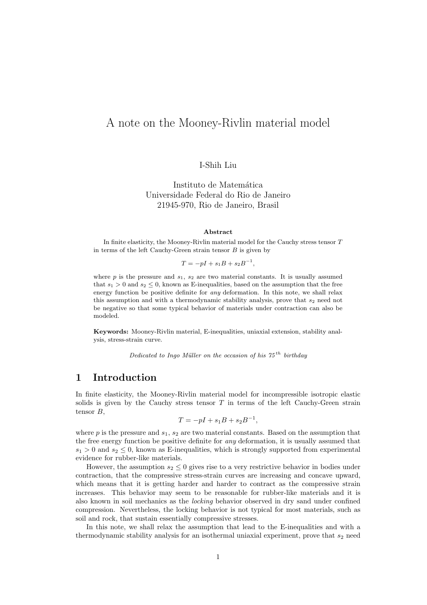# A note on the Mooney-Rivlin material model

I-Shih Liu

Instituto de Matemática Universidade Federal do Rio de Janeiro 21945-970, Rio de Janeiro, Brasil

#### Abstract

In finite elasticity, the Mooney-Rivlin material model for the Cauchy stress tensor T in terms of the left Cauchy-Green strain tensor  $B$  is given by

 $T = -pI + s_1B + s_2B^{-1},$ 

where  $p$  is the pressure and  $s_1$ ,  $s_2$  are two material constants. It is usually assumed that  $s_1 > 0$  and  $s_2 \leq 0$ , known as E-inequalities, based on the assumption that the free energy function be positive definite for *any* deformation. In this note, we shall relax this assumption and with a thermodynamic stability analysis, prove that  $s_2$  need not be negative so that some typical behavior of materials under contraction can also be modeled.

Keywords: Mooney-Rivlin material, E-inequalities, uniaxial extension, stability analysis, stress-strain curve.

Dedicated to Ingo Müller on the occasion of his  $75^{th}$  birthday

#### 1 Introduction

In finite elasticity, the Mooney-Rivlin material model for incompressible isotropic elastic solids is given by the Cauchy stress tensor  $T$  in terms of the left Cauchy-Green strain tensor B,

$$
T = -pI + s_1B + s_2B^{-1},
$$

where  $p$  is the pressure and  $s_1$ ,  $s_2$  are two material constants. Based on the assumption that the free energy function be positive definite for *any* deformation, it is usually assumed that  $s_1 > 0$  and  $s_2 \leq 0$ , known as E-inequalities, which is strongly supported from experimental evidence for rubber-like materials.

However, the assumption  $s_2 \leq 0$  gives rise to a very restrictive behavior in bodies under contraction, that the compressive stress-strain curves are increasing and concave upward, which means that it is getting harder and harder to contract as the compressive strain increases. This behavior may seem to be reasonable for rubber-like materials and it is also known in soil mechanics as the locking behavior observed in dry sand under confined compression. Nevertheless, the locking behavior is not typical for most materials, such as soil and rock, that sustain essentially compressive stresses.

In this note, we shall relax the assumption that lead to the E-inequalities and with a thermodynamic stability analysis for an isothermal uniaxial experiment, prove that  $s_2$  need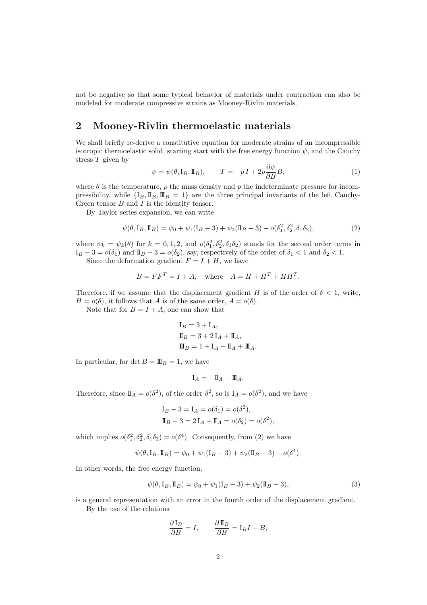not be negative so that some typical behavior of materials under contraction can also be modeled for moderate compressive strains as Mooney-Rivlin materials.

## 2 Mooney-Rivlin thermoelastic materials

We shall briefly re-derive a constitutive equation for moderate strains of an incompressible isotropic thermoelastic solid, starting start with the free energy function  $\psi$ , and the Cauchy stress  $T$  given by

$$
\psi = \psi(\theta, I_B, I_B), \qquad T = -pI + 2\rho \frac{\partial \psi}{\partial B} B,\tag{1}
$$

where  $\theta$  is the temperature,  $\rho$  the mass density and p the indeterminate pressure for incompressibility, while  $\{I_B, \mathbb{I}\_B, \mathbb{I}\_B = 1\}$  are the three principal invariants of the left Cauchy-Green tensor  $B$  and  $I$  is the identity tensor.

By Taylor series expansion, we can write

$$
\psi(\theta, I_B, I_B) = \psi_0 + \psi_1(I_B - 3) + \psi_2(I_B - 3) + o(\delta_1^2, \delta_2^2, \delta_1 \delta_2),\tag{2}
$$

where  $\psi_k = \psi_k(\theta)$  for  $k = 0, 1, 2$ , and  $o(\delta_1^2, \delta_2^2, \delta_1 \delta_2)$  stands for the second order terms in  $I_B - 3 = o(\delta_1)$  and  $I_B - 3 = o(\delta_2)$ , say, respectively of the order of  $\delta_1 < 1$  and  $\delta_2 < 1$ . Since the deformation gradient  $F = I + H$ , we have

$$
B = FF^T = I + A, \quad \text{where} \quad A = H + H^T + HH^T.
$$

Therefore, if we assume that the displacement gradient H is of the order of  $\delta < 1$ , write,  $H = o(\delta)$ , it follows that A is of the same order,  $A = o(\delta)$ .

Note that for  $B = I + A$ , one can show that

$$
I_B = 3 + I_A,
$$
  
\n
$$
I_B = 3 + 2 I_A + I_A,
$$
  
\n
$$
I\!I_B = 1 + I_A + I\!I_A + I\!I\!I_A.
$$

In particular, for det  $B = \mathbb{I} \mathbb{I}_B = 1$ , we have

$$
\mathbf{I}_A = -\mathbf{I\!I}_A - \mathbf{I\!I\!I}_A.
$$

Therefore, since  $\mathbb{I}_A = o(\delta^2)$ , of the order  $\delta^2$ , so is  $I_A = o(\delta^2)$ , and we have

$$
I_B - 3 = I_A = o(\delta_1) = o(\delta^2),
$$
  
\n $I_B - 3 = 2I_A + I_A = o(\delta_2) = o(\delta^2),$ 

which implies  $o(\delta_1^2, \delta_2^2, \delta_1 \delta_2) = o(\delta^4)$ . Consequently, from (2) we have

$$
\psi(\theta, I_B, \mathbb{I}_B) = \psi_0 + \psi_1(I_B - 3) + \psi_2(\mathbb{I}_B - 3) + o(\delta^4).
$$

In other words, the free energy function,

$$
\psi(\theta, I_B, I_B) = \psi_0 + \psi_1(I_B - 3) + \psi_2(I_B - 3),
$$
\n(3)

is a general representation with an error in the fourth order of the displacement gradient.

By the use of the relations

$$
\frac{\partial I_B}{\partial B} = I, \qquad \frac{\partial I\!I_B}{\partial B} = I_B I - B,
$$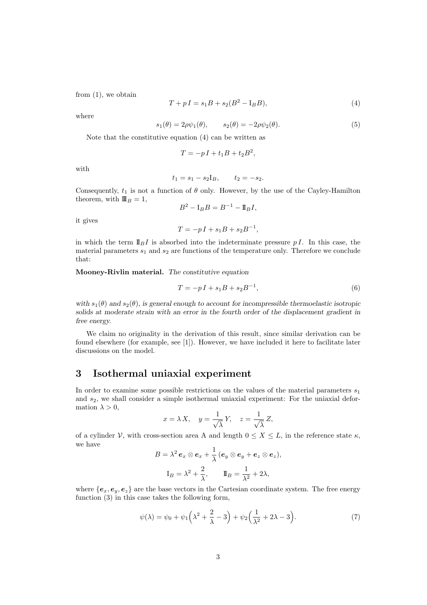from (1), we obtain

$$
T + pI = s_1B + s_2(B^2 - I_B B),
$$
\n(4)

where

$$
s_1(\theta) = 2\rho\psi_1(\theta), \qquad s_2(\theta) = -2\rho\psi_2(\theta). \tag{5}
$$

Note that the constitutive equation (4) can be written as

$$
T = -pI + t_1B + t_2B^2,
$$

with

$$
t_1 = s_1 - s_2 I_B, \qquad t_2 = -s_2.
$$

Consequently,  $t_1$  is not a function of  $\theta$  only. However, by the use of the Cayley-Hamilton theorem, with  $\mathbf{I} \mathbf{I}_B = 1$ ,

$$
B^2 - \mathbf{I}_B B = B^{-1} - \mathbf{I\!I}_B I,
$$

it gives

$$
T = -pI + s_1B + s_2B^{-1},
$$

in which the term  $\mathbb{I}_{B}I$  is absorbed into the indeterminate pressure p I. In this case, the material parameters  $s_1$  and  $s_2$  are functions of the temperature only. Therefore we conclude that:

Mooney-Rivlin material. The constitutive equation

$$
T = -pI + s_1B + s_2B^{-1},
$$
\n(6)

with  $s_1(\theta)$  and  $s_2(\theta)$ , is general enough to account for incompressible thermoelastic isotropic solids at moderate strain with an error in the fourth order of the displacement gradient in free energy.

We claim no originality in the derivation of this result, since similar derivation can be found elsewhere (for example, see [1]). However, we have included it here to facilitate later discussions on the model.

## 3 Isothermal uniaxial experiment

In order to examine some possible restrictions on the values of the material parameters  $s_1$ and  $s<sub>2</sub>$ , we shall consider a simple isothermal uniaxial experiment: For the uniaxial deformation  $\lambda > 0$ ,

$$
x = \lambda X, \quad y = \frac{1}{\sqrt{\lambda}} Y, \quad z = \frac{1}{\sqrt{\lambda}} Z,
$$

of a cylinder V, with cross-section area A and length  $0 \le X \le L$ , in the reference state  $\kappa$ , we have

$$
B = \lambda^2 e_x \otimes e_x + \frac{1}{\lambda} (e_y \otimes e_y + e_z \otimes e_z),
$$
  

$$
I_B = \lambda^2 + \frac{2}{\lambda}, \qquad I\!I_B = \frac{1}{\lambda^2} + 2\lambda,
$$

where  ${e_x, e_y, e_z}$  are the base vectors in the Cartesian coordinate system. The free energy function (3) in this case takes the following form,

$$
\psi(\lambda) = \psi_0 + \psi_1 \left(\lambda^2 + \frac{2}{\lambda} - 3\right) + \psi_2 \left(\frac{1}{\lambda^2} + 2\lambda - 3\right). \tag{7}
$$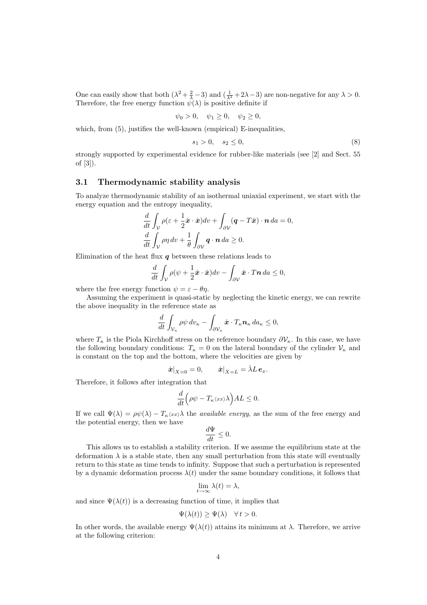One can easily show that both  $(\lambda^2 + \frac{2}{\lambda} - 3)$  and  $(\frac{1}{\lambda^2} + 2\lambda - 3)$  are non-negative for any  $\lambda > 0$ . Therefore, the free energy function  $\hat{\psi}(\lambda)$  is positive definite if

$$
\psi_0 > 0, \quad \psi_1 \ge 0, \quad \psi_2 \ge 0,
$$

which, from  $(5)$ , justifies the well-known (empirical) E-inequalities,

$$
s_1 > 0, \quad s_2 \le 0,\tag{8}
$$

strongly supported by experimental evidence for rubber-like materials (see [2] and Sect. 55 of [3]).

#### 3.1 Thermodynamic stability analysis

To analyze thermodynamic stability of an isothermal uniaxial experiment, we start with the energy equation and the entropy inequality,

$$
\frac{d}{dt} \int_{\mathcal{V}} \rho(\varepsilon + \frac{1}{2}\dot{\boldsymbol{x}} \cdot \dot{\boldsymbol{x}}) dv + \int_{\partial \mathcal{V}} (\boldsymbol{q} - T\dot{\boldsymbol{x}}) \cdot \boldsymbol{n} \, da = 0,
$$
\n
$$
\frac{d}{dt} \int_{\mathcal{V}} \rho \eta \, dv + \frac{1}{\theta} \int_{\partial \mathcal{V}} \boldsymbol{q} \cdot \boldsymbol{n} \, da \ge 0.
$$

Elimination of the heat flux  $q$  between these relations leads to

$$
\frac{d}{dt} \int_{\mathcal{V}} \rho(\psi + \frac{1}{2}\dot{\boldsymbol{x}} \cdot \dot{\boldsymbol{x}}) dv - \int_{\partial \mathcal{V}} \dot{\boldsymbol{x}} \cdot T \boldsymbol{n} \, da \leq 0,
$$

where the free energy function  $\psi = \varepsilon - \theta \eta$ .

Assuming the experiment is quasi-static by neglecting the kinetic energy, we can rewrite the above inequality in the reference state as

$$
\frac{d}{dt} \int_{\mathcal{V}_{\kappa}} \rho \psi \, dv_{\kappa} - \int_{\partial \mathcal{V}_{\kappa}} \dot{\boldsymbol{x}} \cdot T_{\kappa} \boldsymbol{n}_{\kappa} \, da_{\kappa} \leq 0,
$$

where  $T_{\kappa}$  is the Piola Kirchhoff stress on the reference boundary  $\partial V_{\kappa}$ . In this case, we have the following boundary conditions:  $T_{\kappa} = 0$  on the lateral boundary of the cylinder  $\mathcal{V}_{\kappa}$  and is constant on the top and the bottom, where the velocities are given by

$$
\dot{\boldsymbol{x}}|_{X=0}=0,\qquad \dot{\boldsymbol{x}}|_{X=L}=\dot{\lambda}L\,\boldsymbol{e}_x.
$$

Therefore, it follows after integration that

$$
\frac{d}{dt}\Big(\rho\psi - T_{\kappa}\langle xx\rangle\lambda\Big)AL \leq 0.
$$

If we call  $\Psi(\lambda) = \rho \psi(\lambda) - T_{\kappa} \langle x \rangle \lambda$  the *available energy*, as the sum of the free energy and the potential energy, then we have

$$
\frac{d\Psi}{dt}\leq 0.
$$

This allows us to establish a stability criterion. If we assume the equilibrium state at the deformation  $\lambda$  is a stable state, then any small perturbation from this state will eventually return to this state as time tends to infinity. Suppose that such a perturbation is represented by a dynamic deformation process  $\lambda(t)$  under the same boundary conditions, it follows that

$$
\lim_{t \to \infty} \lambda(t) = \lambda,
$$

and since  $\Psi(\lambda(t))$  is a decreasing function of time, it implies that

$$
\Psi(\lambda(t)) \ge \Psi(\lambda) \quad \forall \, t > 0.
$$

In other words, the available energy  $\Psi(\lambda(t))$  attains its minimum at  $\lambda$ . Therefore, we arrive at the following criterion: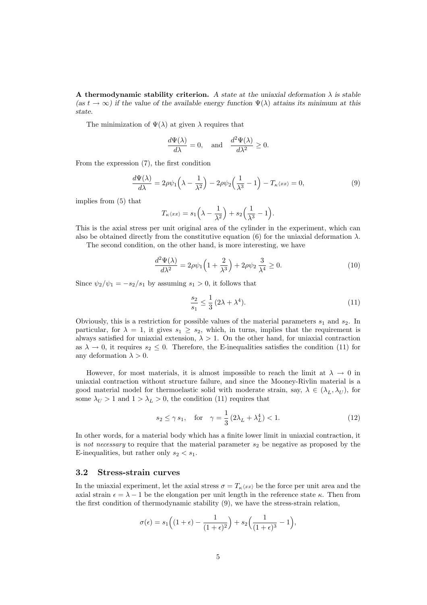A thermodynamic stability criterion. A state at the uniaxial deformation  $\lambda$  is stable (as  $t \to \infty$ ) if the value of the available energy function  $\Psi(\lambda)$  attains its minimum at this state.

The minimization of  $\Psi(\lambda)$  at given  $\lambda$  requires that

$$
\frac{d\Psi(\lambda)}{d\lambda} = 0, \text{ and } \frac{d^2\Psi(\lambda)}{d\lambda^2} \ge 0.
$$

From the expression (7), the first condition

$$
\frac{d\Psi(\lambda)}{d\lambda} = 2\rho\psi_1\left(\lambda - \frac{1}{\lambda^2}\right) - 2\rho\psi_2\left(\frac{1}{\lambda^3} - 1\right) - T_\kappa \langle xx \rangle = 0,\tag{9}
$$

implies from (5) that

$$
T_{\kappa}\langle xx \rangle = s_1\left(\lambda - \frac{1}{\lambda^2}\right) + s_2\left(\frac{1}{\lambda^3} - 1\right).
$$

This is the axial stress per unit original area of the cylinder in the experiment, which can also be obtained directly from the constitutive equation (6) for the uniaxial deformation  $\lambda$ .

The second condition, on the other hand, is more interesting, we have

$$
\frac{d^2\Psi(\lambda)}{d\lambda^2} = 2\rho\psi_1\left(1 + \frac{2}{\lambda^3}\right) + 2\rho\psi_2\frac{3}{\lambda^4} \ge 0.
$$
\n(10)

Since  $\psi_2/\psi_1 = -s_2/s_1$  by assuming  $s_1 > 0$ , it follows that

$$
\frac{s_2}{s_1} \le \frac{1}{3} (2\lambda + \lambda^4). \tag{11}
$$

Obviously, this is a restriction for possible values of the material parameters  $s_1$  and  $s_2$ . In particular, for  $\lambda = 1$ , it gives  $s_1 \geq s_2$ , which, in turns, implies that the requirement is always satisfied for uniaxial extension,  $\lambda > 1$ . On the other hand, for uniaxial contraction as  $\lambda \to 0$ , it requires  $s_2 \leq 0$ . Therefore, the E-inequalities satisfies the condition (11) for any deformation  $\lambda > 0$ .

However, for most materials, it is almost impossible to reach the limit at  $\lambda \to 0$  in uniaxial contraction without structure failure, and since the Mooney-Rivlin material is a good material model for thermoelastic solid with moderate strain, say,  $\lambda \in (\lambda_L, \lambda_U)$ , for some  $\lambda_U > 1$  and  $1 > \lambda_L > 0$ , the condition (11) requires that

$$
s_2 \le \gamma s_1, \quad \text{for} \quad \gamma = \frac{1}{3} \left( 2\lambda_L + \lambda_L^4 \right) < 1. \tag{12}
$$

In other words, for a material body which has a finite lower limit in uniaxial contraction, it is not necessary to require that the material parameter  $s_2$  be negative as proposed by the E-inequalities, but rather only  $s_2 < s_1$ .

#### 3.2 Stress-strain curves

In the uniaxial experiment, let the axial stress  $\sigma = T_{\kappa} \langle x \rangle$  be the force per unit area and the axial strain  $\epsilon = \lambda - 1$  be the elongation per unit length in the reference state  $\kappa$ . Then from the first condition of thermodynamic stability (9), we have the stress-strain relation,

$$
\sigma(\epsilon) = s_1 \Big( (1+\epsilon) - \frac{1}{(1+\epsilon)^2} \Big) + s_2 \Big( \frac{1}{(1+\epsilon)^3} - 1 \Big),
$$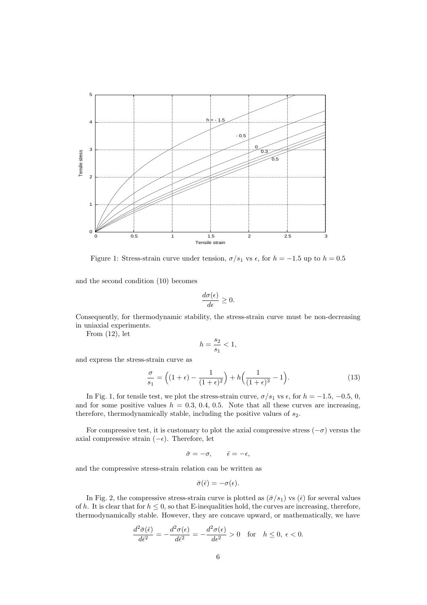

Figure 1: Stress-strain curve under tension,  $\sigma/s_1$  vs  $\epsilon$ , for  $h = -1.5$  up to  $h = 0.5$ 

and the second condition (10) becomes

$$
\frac{d\sigma(\epsilon)}{d\epsilon} \ge 0.
$$

Consequently, for thermodynamic stability, the stress-strain curve must be non-decreasing in uniaxial experiments.

From (12), let

$$
h = \frac{s_2}{s_1} < 1,
$$

and express the stress-strain curve as

$$
\frac{\sigma}{s_1} = \left( (1+\epsilon) - \frac{1}{(1+\epsilon)^2} \right) + h \left( \frac{1}{(1+\epsilon)^3} - 1 \right). \tag{13}
$$

In Fig. 1, for tensile test, we plot the stress-strain curve,  $\sigma/s_1$  vs  $\epsilon$ , for  $h = -1.5, -0.5, 0$ , and for some positive values  $h = 0.3, 0.4, 0.5$ . Note that all these curves are increasing, therefore, thermodynamically stable, including the positive values of  $s_2$ .

For compressive test, it is customary to plot the axial compressive stress  $(-\sigma)$  versus the axial compressive strain  $(-\epsilon)$ . Therefore, let

$$
\bar{\sigma} = -\sigma, \qquad \bar{\epsilon} = -\epsilon,
$$

and the compressive stress-strain relation can be written as

$$
\bar{\sigma}(\bar{\epsilon}) = -\sigma(\epsilon).
$$

In Fig. 2, the compressive stress-strain curve is plotted as  $(\bar{\sigma}/s_1)$  vs  $(\bar{\epsilon})$  for several values of h. It is clear that for  $h \leq 0$ , so that E-inequalities hold, the curves are increasing, therefore, thermodynamically stable. However, they are concave upward, or mathematically, we have

$$
\frac{d^2\bar{\sigma}(\bar{\epsilon})}{d\bar{\epsilon}^2} = -\frac{d^2\sigma(\epsilon)}{d\bar{\epsilon}^2} = -\frac{d^2\sigma(\epsilon)}{d\epsilon^2} > 0 \quad \text{for} \quad h \le 0, \ \epsilon < 0.
$$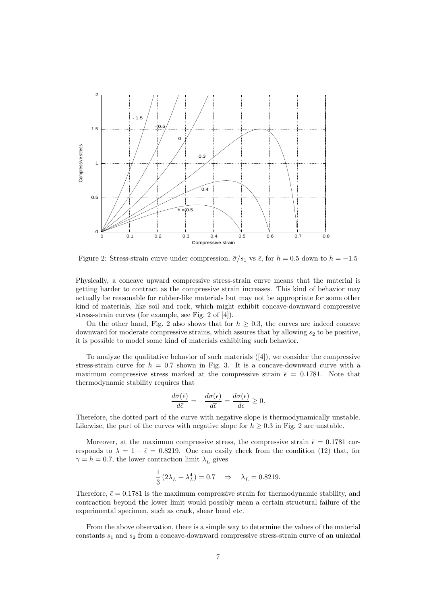

Figure 2: Stress-strain curve under compression,  $\bar{\sigma}/s_1$  vs  $\bar{\epsilon}$ , for  $h = 0.5$  down to  $h = -1.5$ 

Physically, a concave upward compressive stress-strain curve means that the material is getting harder to contract as the compressive strain increases. This kind of behavior may actually be reasonable for rubber-like materials but may not be appropriate for some other kind of materials, like soil and rock, which might exhibit concave-downward compressive stress-strain curves (for example, see Fig. 2 of [4]).

On the other hand, Fig. 2 also shows that for  $h \geq 0.3$ , the curves are indeed concave downward for moderate compressive strains, which assures that by allowing  $s_2$  to be positive, it is possible to model some kind of materials exhibiting such behavior.

To analyze the qualitative behavior of such materials ([4]), we consider the compressive stress-strain curve for  $h = 0.7$  shown in Fig. 3. It is a concave-downward curve with a maximum compressive stress marked at the compressive strain  $\bar{\epsilon} = 0.1781$ . Note that thermodynamic stability requires that

$$
\frac{d\bar{\sigma}(\bar{\epsilon})}{d\bar{\epsilon}} = -\frac{d\sigma(\epsilon)}{d\bar{\epsilon}} = \frac{d\sigma(\epsilon)}{d\epsilon} \ge 0.
$$

Therefore, the dotted part of the curve with negative slope is thermodynamically unstable. Likewise, the part of the curves with negative slope for  $h \geq 0.3$  in Fig. 2 are unstable.

Moreover, at the maximum compressive stress, the compressive strain  $\bar{\epsilon} = 0.1781$  corresponds to  $\lambda = 1 - \bar{\epsilon} = 0.8219$ . One can easily check from the condition (12) that, for  $\gamma = h = 0.7$ , the lower contraction limit  $\lambda_L$  gives

$$
\frac{1}{3} \left( 2 \lambda_L + \lambda_L^4 \right) = 0.7 \quad \Rightarrow \quad \lambda_L = 0.8219.
$$

Therefore,  $\bar{\epsilon} = 0.1781$  is the maximum compressive strain for thermodynamic stability, and contraction beyond the lower limit would possibly mean a certain structural failure of the experimental specimen, such as crack, shear bend etc.

From the above observation, there is a simple way to determine the values of the material constants  $s_1$  and  $s_2$  from a concave-downward compressive stress-strain curve of an uniaxial